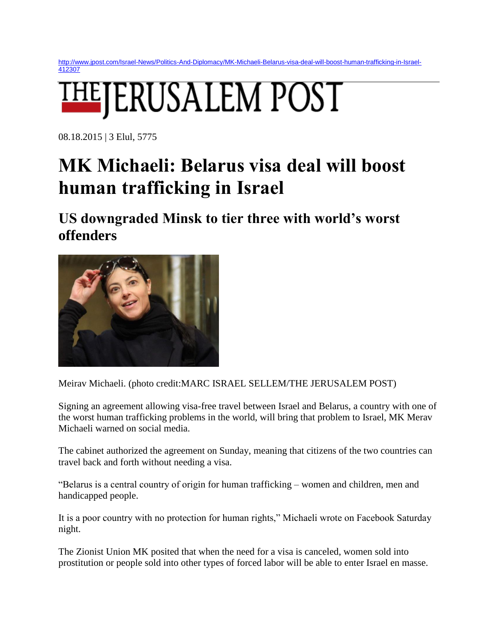[http://www.jpost.com/Israel-News/Politics-And-Diplomacy/MK-Michaeli-Belarus-visa-deal-will-boost-human-trafficking-in-Israel-](http://www.jpost.com/Israel-News/Politics-And-Diplomacy/MK-Michaeli-Belarus-visa-deal-will-boost-human-trafficking-in-Israel-412307)[412307](http://www.jpost.com/Israel-News/Politics-And-Diplomacy/MK-Michaeli-Belarus-visa-deal-will-boost-human-trafficking-in-Israel-412307)

## **EJERUSALEM POST**

08.18.2015 | 3 Elul, 5775

## **MK Michaeli: Belarus visa deal will boost human trafficking in Israel**

**US downgraded Minsk to tier three with world's worst offenders** 



Meirav Michaeli. (photo credit:MARC ISRAEL SELLEM/THE JERUSALEM POST)

Signing an agreement allowing visa-free travel between Israel and Belarus, a country with one of the worst human trafficking problems in the world, will bring that problem to Israel, MK Merav Michaeli warned on social media.

The cabinet authorized the agreement on Sunday, meaning that citizens of the two countries can travel back and forth without needing a visa.

"Belarus is a central country of origin for human trafficking – women and children, men and handicapped people.

It is a poor country with no protection for human rights," Michaeli wrote on Facebook Saturday night.

The Zionist Union MK posited that when the need for a visa is canceled, women sold into prostitution or people sold into other types of forced labor will be able to enter Israel en masse.